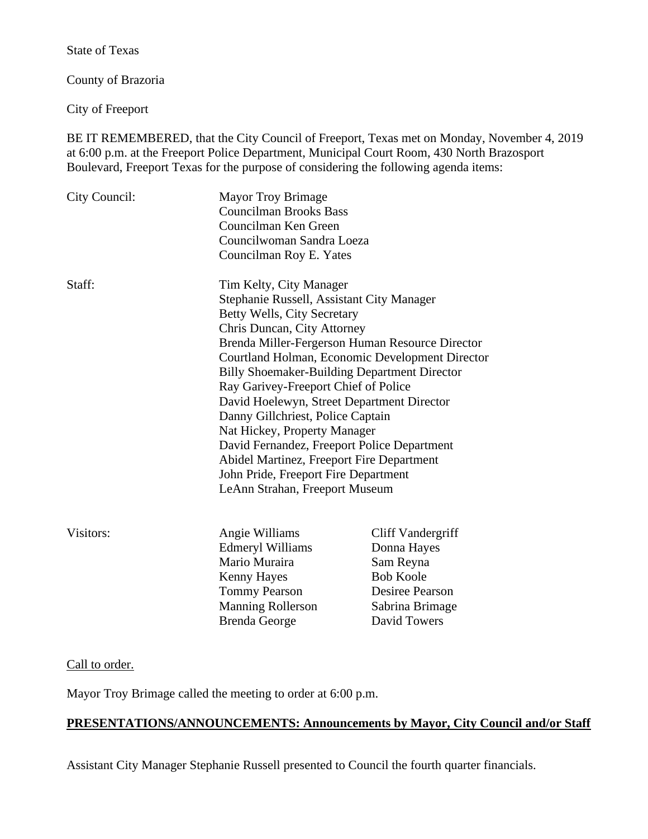State of Texas

County of Brazoria

City of Freeport

BE IT REMEMBERED, that the City Council of Freeport, Texas met on Monday, November 4, 2019 at 6:00 p.m. at the Freeport Police Department, Municipal Court Room, 430 North Brazosport Boulevard, Freeport Texas for the purpose of considering the following agenda items:

| City Council: | <b>Mayor Troy Brimage</b><br><b>Councilman Brooks Bass</b><br>Councilman Ken Green<br>Councilwoman Sandra Loeza<br>Councilman Roy E. Yates                                                                                                                                                                                                                                                                                                                                                                                 |                                                                                                                         |
|---------------|----------------------------------------------------------------------------------------------------------------------------------------------------------------------------------------------------------------------------------------------------------------------------------------------------------------------------------------------------------------------------------------------------------------------------------------------------------------------------------------------------------------------------|-------------------------------------------------------------------------------------------------------------------------|
| Staff:        | Tim Kelty, City Manager<br>Stephanie Russell, Assistant City Manager<br>Betty Wells, City Secretary<br>Chris Duncan, City Attorney<br><b>Billy Shoemaker-Building Department Director</b><br>Ray Garivey-Freeport Chief of Police<br>David Hoelewyn, Street Department Director<br>Danny Gillchriest, Police Captain<br>Nat Hickey, Property Manager<br>David Fernandez, Freeport Police Department<br>Abidel Martinez, Freeport Fire Department<br>John Pride, Freeport Fire Department<br>LeAnn Strahan, Freeport Museum | Brenda Miller-Fergerson Human Resource Director<br>Courtland Holman, Economic Development Director                      |
| Visitors:     | Angie Williams<br><b>Edmeryl Williams</b><br>Mario Muraira<br><b>Kenny Hayes</b><br><b>Tommy Pearson</b><br><b>Manning Rollerson</b><br><b>Brenda George</b>                                                                                                                                                                                                                                                                                                                                                               | Cliff Vandergriff<br>Donna Hayes<br>Sam Reyna<br><b>Bob Koole</b><br>Desiree Pearson<br>Sabrina Brimage<br>David Towers |

### Call to order.

Mayor Troy Brimage called the meeting to order at 6:00 p.m.

# **PRESENTATIONS/ANNOUNCEMENTS: Announcements by Mayor, City Council and/or Staff**

Assistant City Manager Stephanie Russell presented to Council the fourth quarter financials.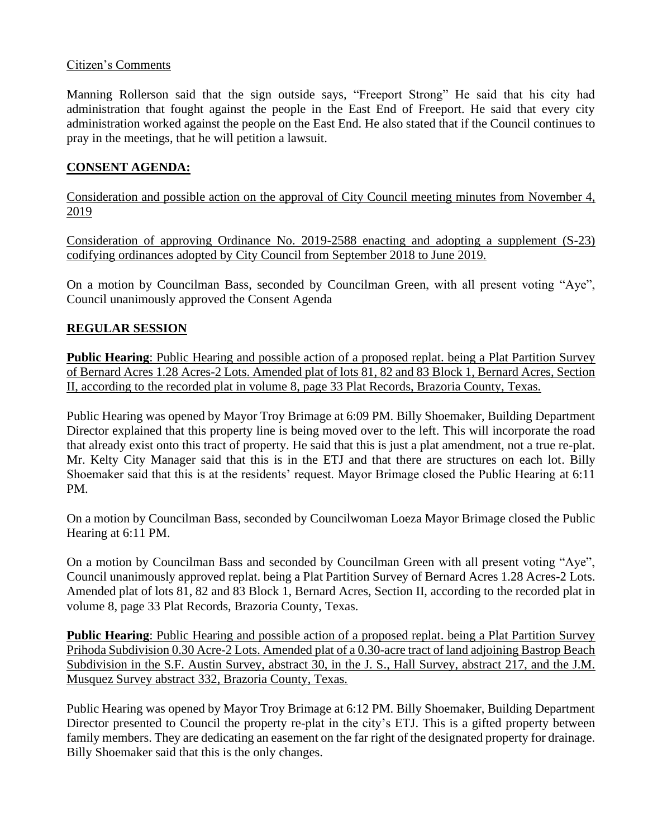### Citizen's Comments

Manning Rollerson said that the sign outside says, "Freeport Strong" He said that his city had administration that fought against the people in the East End of Freeport. He said that every city administration worked against the people on the East End. He also stated that if the Council continues to pray in the meetings, that he will petition a lawsuit.

# **CONSENT AGENDA:**

Consideration and possible action on the approval of City Council meeting minutes from November 4, 2019

Consideration of approving Ordinance No. 2019-2588 enacting and adopting a supplement (S-23) codifying ordinances adopted by City Council from September 2018 to June 2019.

On a motion by Councilman Bass, seconded by Councilman Green, with all present voting "Aye", Council unanimously approved the Consent Agenda

## **REGULAR SESSION**

**Public Hearing**: Public Hearing and possible action of a proposed replat. being a Plat Partition Survey of Bernard Acres 1.28 Acres-2 Lots. Amended plat of lots 81, 82 and 83 Block 1, Bernard Acres, Section II, according to the recorded plat in volume 8, page 33 Plat Records, Brazoria County, Texas.

Public Hearing was opened by Mayor Troy Brimage at 6:09 PM. Billy Shoemaker, Building Department Director explained that this property line is being moved over to the left. This will incorporate the road that already exist onto this tract of property. He said that this is just a plat amendment, not a true re-plat. Mr. Kelty City Manager said that this is in the ETJ and that there are structures on each lot. Billy Shoemaker said that this is at the residents' request. Mayor Brimage closed the Public Hearing at 6:11 PM.

On a motion by Councilman Bass, seconded by Councilwoman Loeza Mayor Brimage closed the Public Hearing at 6:11 PM.

On a motion by Councilman Bass and seconded by Councilman Green with all present voting "Aye", Council unanimously approved replat. being a Plat Partition Survey of Bernard Acres 1.28 Acres-2 Lots. Amended plat of lots 81, 82 and 83 Block 1, Bernard Acres, Section II, according to the recorded plat in volume 8, page 33 Plat Records, Brazoria County, Texas.

**Public Hearing**: Public Hearing and possible action of a proposed replat. being a Plat Partition Survey Prihoda Subdivision 0.30 Acre-2 Lots. Amended plat of a 0.30-acre tract of land adjoining Bastrop Beach Subdivision in the S.F. Austin Survey, abstract 30, in the J. S., Hall Survey, abstract 217, and the J.M. Musquez Survey abstract 332, Brazoria County, Texas.

Public Hearing was opened by Mayor Troy Brimage at 6:12 PM. Billy Shoemaker, Building Department Director presented to Council the property re-plat in the city's ETJ. This is a gifted property between family members. They are dedicating an easement on the far right of the designated property for drainage. Billy Shoemaker said that this is the only changes.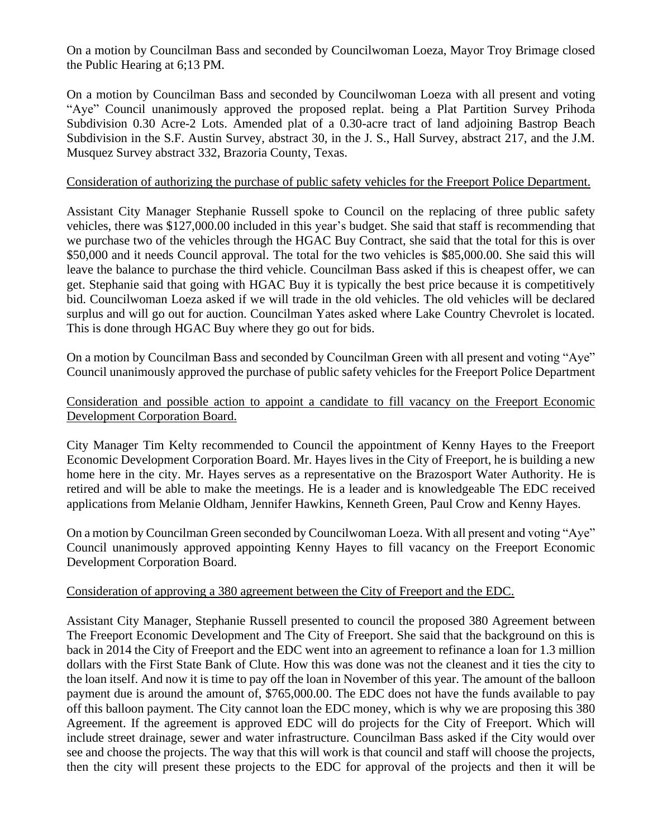On a motion by Councilman Bass and seconded by Councilwoman Loeza, Mayor Troy Brimage closed the Public Hearing at 6;13 PM.

On a motion by Councilman Bass and seconded by Councilwoman Loeza with all present and voting "Aye" Council unanimously approved the proposed replat. being a Plat Partition Survey Prihoda Subdivision 0.30 Acre-2 Lots. Amended plat of a 0.30-acre tract of land adjoining Bastrop Beach Subdivision in the S.F. Austin Survey, abstract 30, in the J. S., Hall Survey, abstract 217, and the J.M. Musquez Survey abstract 332, Brazoria County, Texas.

#### Consideration of authorizing the purchase of public safety vehicles for the Freeport Police Department.

Assistant City Manager Stephanie Russell spoke to Council on the replacing of three public safety vehicles, there was \$127,000.00 included in this year's budget. She said that staff is recommending that we purchase two of the vehicles through the HGAC Buy Contract, she said that the total for this is over \$50,000 and it needs Council approval. The total for the two vehicles is \$85,000.00. She said this will leave the balance to purchase the third vehicle. Councilman Bass asked if this is cheapest offer, we can get. Stephanie said that going with HGAC Buy it is typically the best price because it is competitively bid. Councilwoman Loeza asked if we will trade in the old vehicles. The old vehicles will be declared surplus and will go out for auction. Councilman Yates asked where Lake Country Chevrolet is located. This is done through HGAC Buy where they go out for bids.

On a motion by Councilman Bass and seconded by Councilman Green with all present and voting "Aye" Council unanimously approved the purchase of public safety vehicles for the Freeport Police Department

### Consideration and possible action to appoint a candidate to fill vacancy on the Freeport Economic Development Corporation Board.

City Manager Tim Kelty recommended to Council the appointment of Kenny Hayes to the Freeport Economic Development Corporation Board. Mr. Hayes lives in the City of Freeport, he is building a new home here in the city. Mr. Hayes serves as a representative on the Brazosport Water Authority. He is retired and will be able to make the meetings. He is a leader and is knowledgeable The EDC received applications from Melanie Oldham, Jennifer Hawkins, Kenneth Green, Paul Crow and Kenny Hayes.

On a motion by Councilman Green seconded by Councilwoman Loeza. With all present and voting "Aye" Council unanimously approved appointing Kenny Hayes to fill vacancy on the Freeport Economic Development Corporation Board.

### Consideration of approving a 380 agreement between the City of Freeport and the EDC.

Assistant City Manager, Stephanie Russell presented to council the proposed 380 Agreement between The Freeport Economic Development and The City of Freeport. She said that the background on this is back in 2014 the City of Freeport and the EDC went into an agreement to refinance a loan for 1.3 million dollars with the First State Bank of Clute. How this was done was not the cleanest and it ties the city to the loan itself. And now it is time to pay off the loan in November of this year. The amount of the balloon payment due is around the amount of, \$765,000.00. The EDC does not have the funds available to pay off this balloon payment. The City cannot loan the EDC money, which is why we are proposing this 380 Agreement. If the agreement is approved EDC will do projects for the City of Freeport. Which will include street drainage, sewer and water infrastructure. Councilman Bass asked if the City would over see and choose the projects. The way that this will work is that council and staff will choose the projects, then the city will present these projects to the EDC for approval of the projects and then it will be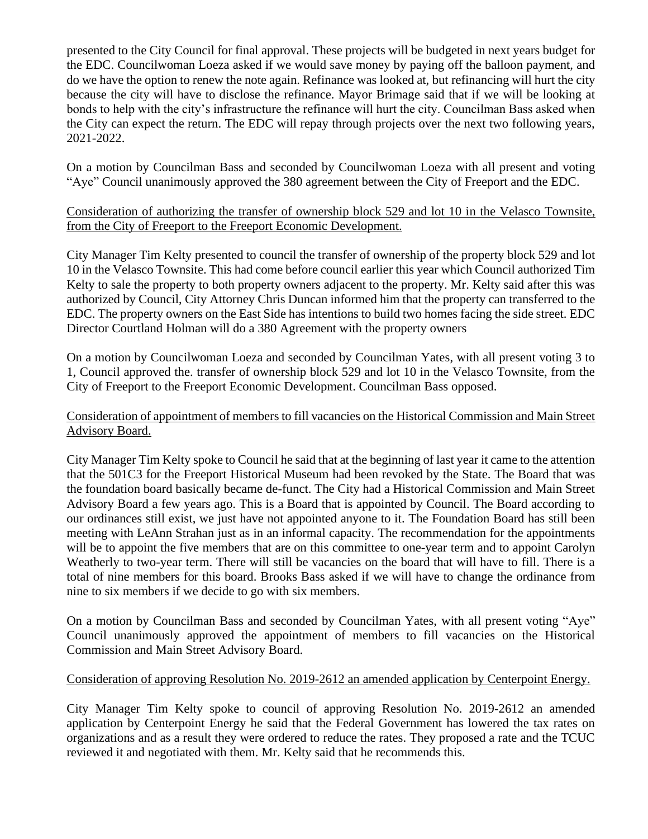presented to the City Council for final approval. These projects will be budgeted in next years budget for the EDC. Councilwoman Loeza asked if we would save money by paying off the balloon payment, and do we have the option to renew the note again. Refinance was looked at, but refinancing will hurt the city because the city will have to disclose the refinance. Mayor Brimage said that if we will be looking at bonds to help with the city's infrastructure the refinance will hurt the city. Councilman Bass asked when the City can expect the return. The EDC will repay through projects over the next two following years, 2021-2022.

On a motion by Councilman Bass and seconded by Councilwoman Loeza with all present and voting "Aye" Council unanimously approved the 380 agreement between the City of Freeport and the EDC.

## Consideration of authorizing the transfer of ownership block 529 and lot 10 in the Velasco Townsite, from the City of Freeport to the Freeport Economic Development.

City Manager Tim Kelty presented to council the transfer of ownership of the property block 529 and lot 10 in the Velasco Townsite. This had come before council earlier this year which Council authorized Tim Kelty to sale the property to both property owners adjacent to the property. Mr. Kelty said after this was authorized by Council, City Attorney Chris Duncan informed him that the property can transferred to the EDC. The property owners on the East Side has intentions to build two homes facing the side street. EDC Director Courtland Holman will do a 380 Agreement with the property owners

On a motion by Councilwoman Loeza and seconded by Councilman Yates, with all present voting 3 to 1, Council approved the. transfer of ownership block 529 and lot 10 in the Velasco Townsite, from the City of Freeport to the Freeport Economic Development. Councilman Bass opposed.

## Consideration of appointment of members to fill vacancies on the Historical Commission and Main Street Advisory Board.

City Manager Tim Kelty spoke to Council he said that at the beginning of last year it came to the attention that the 501C3 for the Freeport Historical Museum had been revoked by the State. The Board that was the foundation board basically became de-funct. The City had a Historical Commission and Main Street Advisory Board a few years ago. This is a Board that is appointed by Council. The Board according to our ordinances still exist, we just have not appointed anyone to it. The Foundation Board has still been meeting with LeAnn Strahan just as in an informal capacity. The recommendation for the appointments will be to appoint the five members that are on this committee to one-year term and to appoint Carolyn Weatherly to two-year term. There will still be vacancies on the board that will have to fill. There is a total of nine members for this board. Brooks Bass asked if we will have to change the ordinance from nine to six members if we decide to go with six members.

On a motion by Councilman Bass and seconded by Councilman Yates, with all present voting "Aye" Council unanimously approved the appointment of members to fill vacancies on the Historical Commission and Main Street Advisory Board.

## Consideration of approving Resolution No. 2019-2612 an amended application by Centerpoint Energy.

City Manager Tim Kelty spoke to council of approving Resolution No. 2019-2612 an amended application by Centerpoint Energy he said that the Federal Government has lowered the tax rates on organizations and as a result they were ordered to reduce the rates. They proposed a rate and the TCUC reviewed it and negotiated with them. Mr. Kelty said that he recommends this.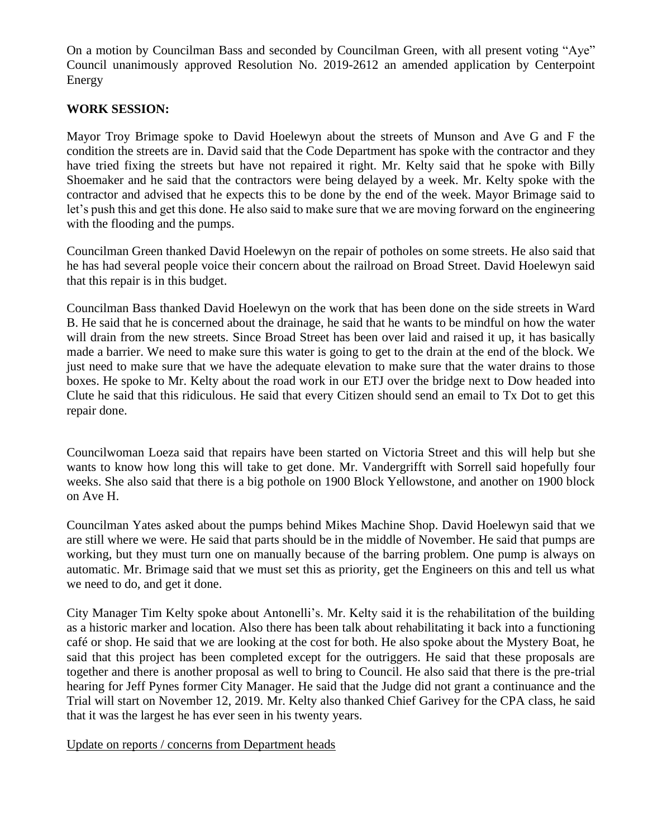On a motion by Councilman Bass and seconded by Councilman Green, with all present voting "Aye" Council unanimously approved Resolution No. 2019-2612 an amended application by Centerpoint Energy

### **WORK SESSION:**

Mayor Troy Brimage spoke to David Hoelewyn about the streets of Munson and Ave G and F the condition the streets are in. David said that the Code Department has spoke with the contractor and they have tried fixing the streets but have not repaired it right. Mr. Kelty said that he spoke with Billy Shoemaker and he said that the contractors were being delayed by a week. Mr. Kelty spoke with the contractor and advised that he expects this to be done by the end of the week. Mayor Brimage said to let's push this and get this done. He also said to make sure that we are moving forward on the engineering with the flooding and the pumps.

Councilman Green thanked David Hoelewyn on the repair of potholes on some streets. He also said that he has had several people voice their concern about the railroad on Broad Street. David Hoelewyn said that this repair is in this budget.

Councilman Bass thanked David Hoelewyn on the work that has been done on the side streets in Ward B. He said that he is concerned about the drainage, he said that he wants to be mindful on how the water will drain from the new streets. Since Broad Street has been over laid and raised it up, it has basically made a barrier. We need to make sure this water is going to get to the drain at the end of the block. We just need to make sure that we have the adequate elevation to make sure that the water drains to those boxes. He spoke to Mr. Kelty about the road work in our ETJ over the bridge next to Dow headed into Clute he said that this ridiculous. He said that every Citizen should send an email to Tx Dot to get this repair done.

Councilwoman Loeza said that repairs have been started on Victoria Street and this will help but she wants to know how long this will take to get done. Mr. Vandergrifft with Sorrell said hopefully four weeks. She also said that there is a big pothole on 1900 Block Yellowstone, and another on 1900 block on Ave H.

Councilman Yates asked about the pumps behind Mikes Machine Shop. David Hoelewyn said that we are still where we were. He said that parts should be in the middle of November. He said that pumps are working, but they must turn one on manually because of the barring problem. One pump is always on automatic. Mr. Brimage said that we must set this as priority, get the Engineers on this and tell us what we need to do, and get it done.

City Manager Tim Kelty spoke about Antonelli's. Mr. Kelty said it is the rehabilitation of the building as a historic marker and location. Also there has been talk about rehabilitating it back into a functioning café or shop. He said that we are looking at the cost for both. He also spoke about the Mystery Boat, he said that this project has been completed except for the outriggers. He said that these proposals are together and there is another proposal as well to bring to Council. He also said that there is the pre-trial hearing for Jeff Pynes former City Manager. He said that the Judge did not grant a continuance and the Trial will start on November 12, 2019. Mr. Kelty also thanked Chief Garivey for the CPA class, he said that it was the largest he has ever seen in his twenty years.

Update on reports / concerns from Department heads